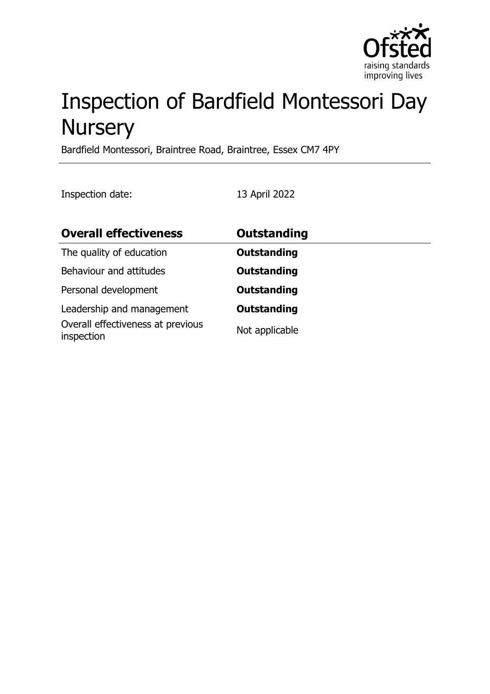

# Inspection of Bardfield Montessori Day **Nursery**

Bardfield Montessori, Braintree Road, Braintree, Essex CM7 4PY

Inspection date: 13 April 2022

| <b>Overall effectiveness</b>                    | Outstanding        |
|-------------------------------------------------|--------------------|
| The quality of education                        | <b>Outstanding</b> |
| Behaviour and attitudes                         | <b>Outstanding</b> |
| Personal development                            | <b>Outstanding</b> |
| Leadership and management                       | Outstanding        |
| Overall effectiveness at previous<br>inspection | Not applicable     |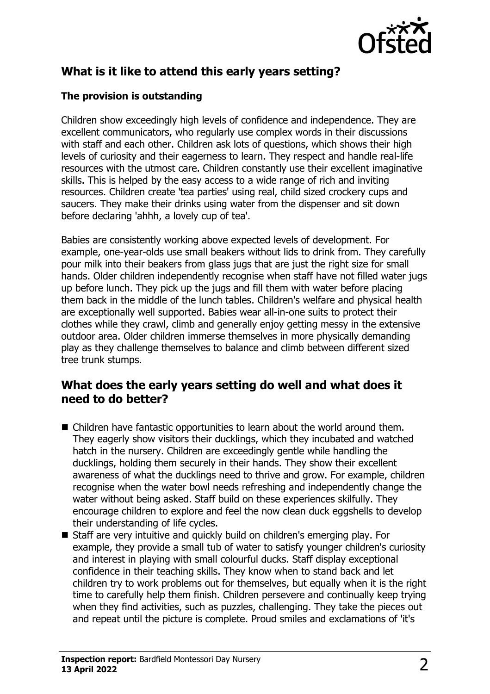

# **What is it like to attend this early years setting?**

### **The provision is outstanding**

Children show exceedingly high levels of confidence and independence. They are excellent communicators, who regularly use complex words in their discussions with staff and each other. Children ask lots of questions, which shows their high levels of curiosity and their eagerness to learn. They respect and handle real-life resources with the utmost care. Children constantly use their excellent imaginative skills. This is helped by the easy access to a wide range of rich and inviting resources. Children create 'tea parties' using real, child sized crockery cups and saucers. They make their drinks using water from the dispenser and sit down before declaring 'ahhh, a lovely cup of tea'.

Babies are consistently working above expected levels of development. For example, one-year-olds use small beakers without lids to drink from. They carefully pour milk into their beakers from glass jugs that are just the right size for small hands. Older children independently recognise when staff have not filled water jugs up before lunch. They pick up the jugs and fill them with water before placing them back in the middle of the lunch tables. Children's welfare and physical health are exceptionally well supported. Babies wear all-in-one suits to protect their clothes while they crawl, climb and generally enjoy getting messy in the extensive outdoor area. Older children immerse themselves in more physically demanding play as they challenge themselves to balance and climb between different sized tree trunk stumps.

## **What does the early years setting do well and what does it need to do better?**

- $\blacksquare$  Children have fantastic opportunities to learn about the world around them. They eagerly show visitors their ducklings, which they incubated and watched hatch in the nursery. Children are exceedingly gentle while handling the ducklings, holding them securely in their hands. They show their excellent awareness of what the ducklings need to thrive and grow. For example, children recognise when the water bowl needs refreshing and independently change the water without being asked. Staff build on these experiences skilfully. They encourage children to explore and feel the now clean duck eggshells to develop their understanding of life cycles.
- Staff are very intuitive and quickly build on children's emerging play. For example, they provide a small tub of water to satisfy younger children's curiosity and interest in playing with small colourful ducks. Staff display exceptional confidence in their teaching skills. They know when to stand back and let children try to work problems out for themselves, but equally when it is the right time to carefully help them finish. Children persevere and continually keep trying when they find activities, such as puzzles, challenging. They take the pieces out and repeat until the picture is complete. Proud smiles and exclamations of 'it's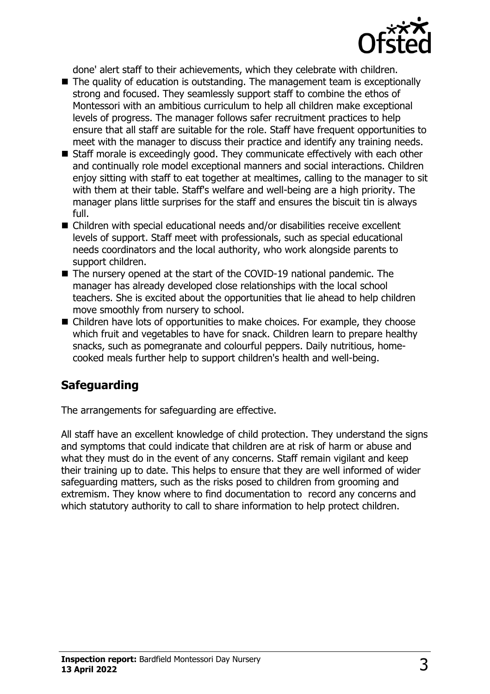

done' alert staff to their achievements, which they celebrate with children.

- $\blacksquare$  The quality of education is outstanding. The management team is exceptionally strong and focused. They seamlessly support staff to combine the ethos of Montessori with an ambitious curriculum to help all children make exceptional levels of progress. The manager follows safer recruitment practices to help ensure that all staff are suitable for the role. Staff have frequent opportunities to meet with the manager to discuss their practice and identify any training needs.
- Staff morale is exceedingly good. They communicate effectively with each other and continually role model exceptional manners and social interactions. Children enjoy sitting with staff to eat together at mealtimes, calling to the manager to sit with them at their table. Staff's welfare and well-being are a high priority. The manager plans little surprises for the staff and ensures the biscuit tin is always full.
- $\blacksquare$  Children with special educational needs and/or disabilities receive excellent levels of support. Staff meet with professionals, such as special educational needs coordinators and the local authority, who work alongside parents to support children.
- $\blacksquare$  The nursery opened at the start of the COVID-19 national pandemic. The manager has already developed close relationships with the local school teachers. She is excited about the opportunities that lie ahead to help children move smoothly from nursery to school.
- $\blacksquare$  Children have lots of opportunities to make choices. For example, they choose which fruit and vegetables to have for snack. Children learn to prepare healthy snacks, such as pomegranate and colourful peppers. Daily nutritious, homecooked meals further help to support children's health and well-being.

# **Safeguarding**

The arrangements for safeguarding are effective.

All staff have an excellent knowledge of child protection. They understand the signs and symptoms that could indicate that children are at risk of harm or abuse and what they must do in the event of any concerns. Staff remain vigilant and keep their training up to date. This helps to ensure that they are well informed of wider safeguarding matters, such as the risks posed to children from grooming and extremism. They know where to find documentation to record any concerns and which statutory authority to call to share information to help protect children.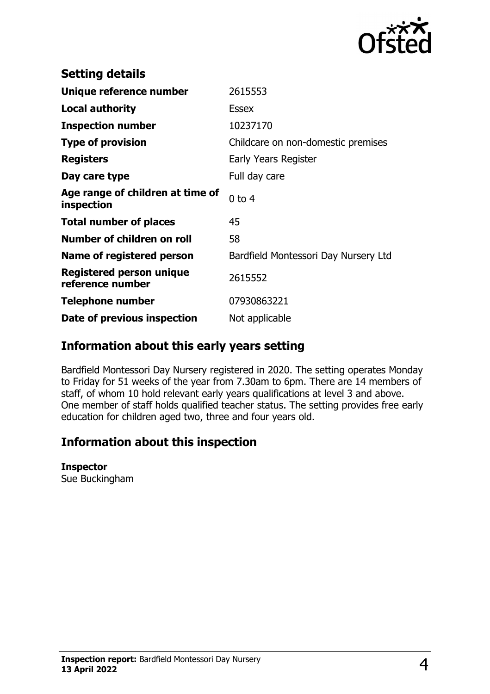

| <b>Setting details</b>                         |                                      |
|------------------------------------------------|--------------------------------------|
| Unique reference number                        | 2615553                              |
| <b>Local authority</b>                         | <b>Essex</b>                         |
| <b>Inspection number</b>                       | 10237170                             |
| <b>Type of provision</b>                       | Childcare on non-domestic premises   |
| <b>Registers</b>                               | Early Years Register                 |
| Day care type                                  | Full day care                        |
| Age range of children at time of<br>inspection | $0$ to $4$                           |
| <b>Total number of places</b>                  | 45                                   |
| Number of children on roll                     | 58                                   |
| Name of registered person                      | Bardfield Montessori Day Nursery Ltd |
| Registered person unique<br>reference number   | 2615552                              |
| <b>Telephone number</b>                        | 07930863221                          |
| Date of previous inspection                    | Not applicable                       |

# **Information about this early years setting**

Bardfield Montessori Day Nursery registered in 2020. The setting operates Monday to Friday for 51 weeks of the year from 7.30am to 6pm. There are 14 members of staff, of whom 10 hold relevant early years qualifications at level 3 and above. One member of staff holds qualified teacher status. The setting provides free early education for children aged two, three and four years old.

# **Information about this inspection**

#### **Inspector**

Sue Buckingham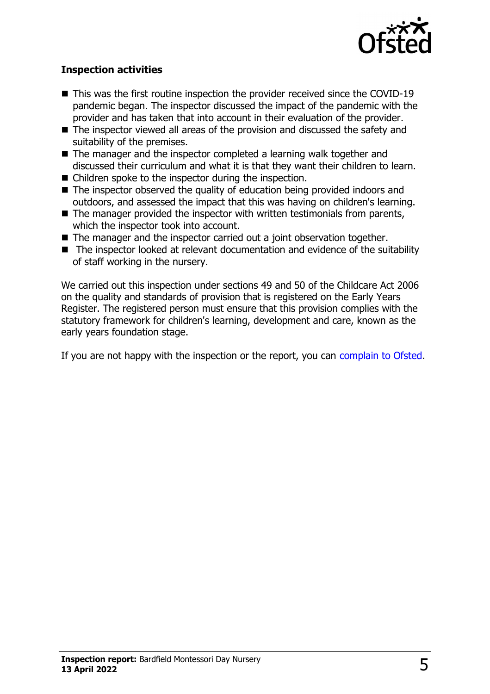

#### **Inspection activities**

- $\blacksquare$  This was the first routine inspection the provider received since the COVID-19 pandemic began. The inspector discussed the impact of the pandemic with the provider and has taken that into account in their evaluation of the provider.
- $\blacksquare$  The inspector viewed all areas of the provision and discussed the safety and suitability of the premises.
- $\blacksquare$  The manager and the inspector completed a learning walk together and discussed their curriculum and what it is that they want their children to learn.
- $\blacksquare$  Children spoke to the inspector during the inspection.
- The inspector observed the quality of education being provided indoors and outdoors, and assessed the impact that this was having on children's learning.
- $\blacksquare$  The manager provided the inspector with written testimonials from parents, which the inspector took into account.
- $\blacksquare$  The manager and the inspector carried out a joint observation together.
- $\blacksquare$  The inspector looked at relevant documentation and evidence of the suitability of staff working in the nursery.

We carried out this inspection under sections 49 and 50 of the Childcare Act 2006 on the quality and standards of provision that is registered on the Early Years Register. The registered person must ensure that this provision complies with the statutory framework for children's learning, development and care, known as the early years foundation stage.

If you are not happy with the inspection or the report, you can [complain to Ofsted](http://www.gov.uk/complain-ofsted-report).